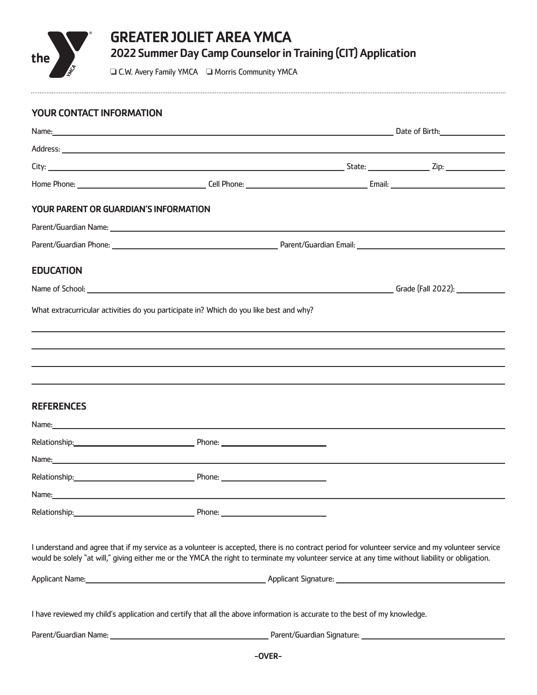

## YOUR CONTACT INFORMATION

|                                       | Name: Contract Contract Contract Contract Contract Contract Contract Contract Contract Contract Contract Contract Contract Contract Contract Contract Contract Contract Contract Contract Contract Contract Contract Contract                                                                        |  |  |
|---------------------------------------|------------------------------------------------------------------------------------------------------------------------------------------------------------------------------------------------------------------------------------------------------------------------------------------------------|--|--|
|                                       |                                                                                                                                                                                                                                                                                                      |  |  |
|                                       |                                                                                                                                                                                                                                                                                                      |  |  |
|                                       |                                                                                                                                                                                                                                                                                                      |  |  |
| YOUR PARENT OR GUARDIAN'S INFORMATION |                                                                                                                                                                                                                                                                                                      |  |  |
|                                       |                                                                                                                                                                                                                                                                                                      |  |  |
|                                       |                                                                                                                                                                                                                                                                                                      |  |  |
| <b>EDUCATION</b>                      |                                                                                                                                                                                                                                                                                                      |  |  |
|                                       |                                                                                                                                                                                                                                                                                                      |  |  |
|                                       | What extracurricular activities do you participate in? Which do you like best and why?                                                                                                                                                                                                               |  |  |
|                                       |                                                                                                                                                                                                                                                                                                      |  |  |
|                                       |                                                                                                                                                                                                                                                                                                      |  |  |
|                                       |                                                                                                                                                                                                                                                                                                      |  |  |
| <b>REFERENCES</b>                     |                                                                                                                                                                                                                                                                                                      |  |  |
|                                       | Name: and the contract of the contract of the contract of the contract of the contract of the contract of the contract of the contract of the contract of the contract of the contract of the contract of the contract of the                                                                        |  |  |
|                                       |                                                                                                                                                                                                                                                                                                      |  |  |
|                                       | Name: <u>contract and contract and contract and contract and contract and contract and contract and contract and contract and contract and contract and contract and contract and contract and contract and contract and contrac</u>                                                                 |  |  |
|                                       |                                                                                                                                                                                                                                                                                                      |  |  |
|                                       |                                                                                                                                                                                                                                                                                                      |  |  |
| Relationship:                         | Phone:                                                                                                                                                                                                                                                                                               |  |  |
|                                       | I understand and agree that if my service as a volunteer is accepted, there is no contract period for volunteer service and my volunteer service<br>would be solely "at will," giving either me or the YMCA the right to terminate my volunteer service at any time without liability or obligation. |  |  |
|                                       |                                                                                                                                                                                                                                                                                                      |  |  |
|                                       | I have reviewed my child's application and certify that all the above information is accurate to the best of my knowledge.                                                                                                                                                                           |  |  |
|                                       |                                                                                                                                                                                                                                                                                                      |  |  |
|                                       | $\bigcap$                                                                                                                                                                                                                                                                                            |  |  |